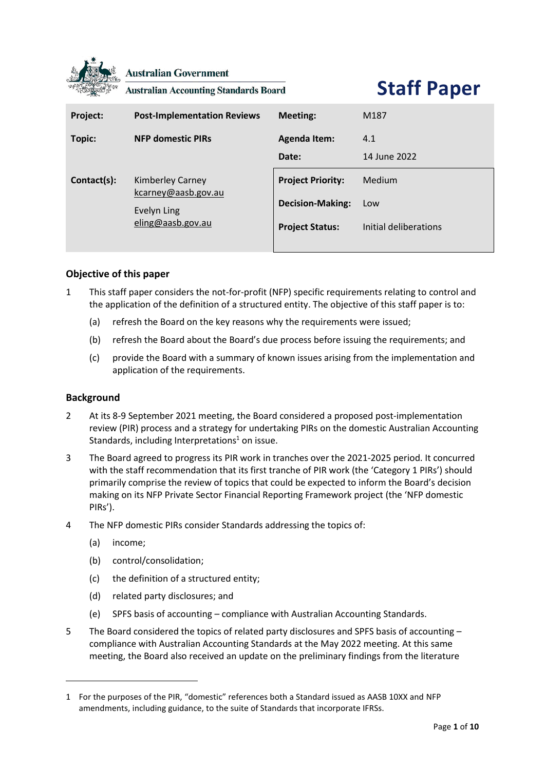

**Australian Government** 

**Australian Accounting Standards Board** 

# **Staff Paper**

| Project:    | <b>Post-Implementation Reviews</b>                                          | <b>Meeting:</b>                                                               | M <sub>187</sub>                       |
|-------------|-----------------------------------------------------------------------------|-------------------------------------------------------------------------------|----------------------------------------|
| Topic:      | <b>NFP domestic PIRs</b>                                                    | <b>Agenda Item:</b><br>Date:                                                  | 4.1<br>14 June 2022                    |
| Contact(s): | Kimberley Carney<br>kcarney@aasb.gov.au<br>Evelyn Ling<br>eling@aasb.gov.au | <b>Project Priority:</b><br><b>Decision-Making:</b><br><b>Project Status:</b> | Medium<br>Low<br>Initial deliberations |

# **Objective of this paper**

- 1 This staff paper considers the not-for-profit (NFP) specific requirements relating to control and the application of the definition of a structured entity. The objective of this staff paper is to:
	- (a) refresh the Board on the key reasons why the requirements were issued;
	- (b) refresh the Board about the Board's due process before issuing the requirements; and
	- (c) provide the Board with a summary of known issues arising from the implementation and application of the requirements.

#### **Background**

- 2 At its 8-9 September 2021 meeting, the Board considered a proposed post-implementation review (PIR) process and a strategy for undertaking PIRs on the domestic Australian Accounting Standards, including Interpretations $1$  on issue.
- 3 The Board agreed to progress its PIR work in tranches over the 2021-2025 period. It concurred with the staff recommendation that its first tranche of PIR work (the 'Category 1 PIRs') should primarily comprise the review of topics that could be expected to inform the Board's decision making on its NFP Private Sector Financial Reporting Framework project (the 'NFP domestic PIRs').
- 4 The NFP domestic PIRs consider Standards addressing the topics of:
	- (a) income;
	- (b) control/consolidation;
	- (c) the definition of a structured entity;
	- (d) related party disclosures; and
	- (e) SPFS basis of accounting compliance with Australian Accounting Standards.
- 5 The Board considered the topics of related party disclosures and SPFS basis of accounting compliance with Australian Accounting Standards at the May 2022 meeting. At this same meeting, the Board also received an update on the preliminary findings from the literature

<sup>1</sup> For the purposes of the PIR, "domestic" references both a Standard issued as AASB 10XX and NFP amendments, including guidance, to the suite of Standards that incorporate IFRSs.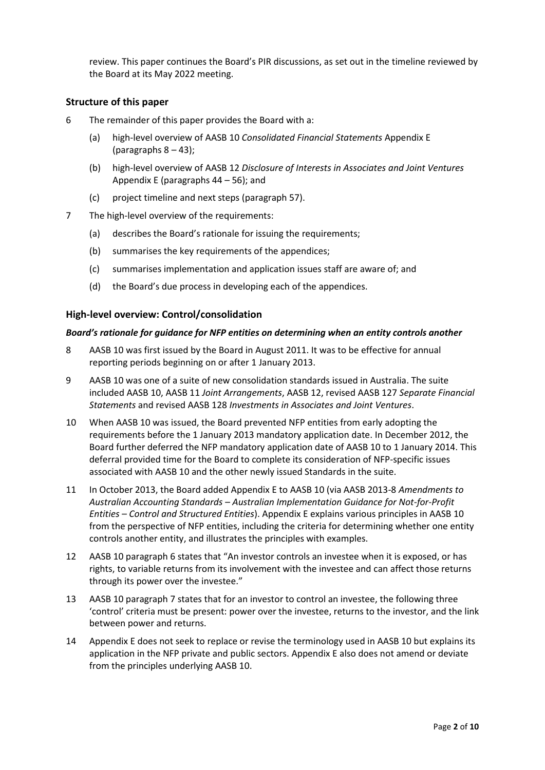review. This paper continues the Board's PIR discussions, as set out in the timeline reviewed by the Board at its May 2022 meeting.

# **Structure of this paper**

- 6 The remainder of this paper provides the Board with a:
	- (a) high-level overview of AASB 10 *Consolidated Financial Statements* Appendix E (paragraphs  $8 - 43$ );
	- (b) high-level overview of AASB 12 *Disclosure of Interests in Associates and Joint Ventures*  Appendix E (paragraph[s 44](#page-7-0) – [56\)](#page-8-0); and
	- (c) project timeline and next steps (paragraph [57\)](#page-8-1).
- 7 The high-level overview of the requirements:
	- (a) describes the Board's rationale for issuing the requirements;
	- (b) summarises the key requirements of the appendices;
	- (c) summarises implementation and application issues staff are aware of; and
	- (d) the Board's due process in developing each of the appendices.

# **High-level overview: Control/consolidation**

#### *Board's rationale for guidance for NFP entities on determining when an entity controls another*

- <span id="page-1-0"></span>8 AASB 10 was first issued by the Board in August 2011. It was to be effective for annual reporting periods beginning on or after 1 January 2013.
- <span id="page-1-1"></span>9 AASB 10 was one of a suite of new consolidation standards issued in Australia. The suite included AASB 10, AASB 11 *Joint Arrangements*, AASB 12, revised AASB 127 *Separate Financial Statements* and revised AASB 128 *Investments in Associates and Joint Ventures*.
- 10 When AASB 10 was issued, the Board prevented NFP entities from early adopting the requirements before the 1 January 2013 mandatory application date. In December 2012, the Board further deferred the NFP mandatory application date of AASB 10 to 1 January 2014. This deferral provided time for the Board to complete its consideration of NFP-specific issues associated with AASB 10 and the other newly issued Standards in the suite.
- 11 In October 2013, the Board added Appendix E to AASB 10 (via AASB 2013-8 *Amendments to Australian Accounting Standards – Australian Implementation Guidance for Not-for-Profit Entities – Control and Structured Entities*). Appendix E explains various principles in AASB 10 from the perspective of NFP entities, including the criteria for determining whether one entity controls another entity, and illustrates the principles with examples.
- 12 AASB 10 paragraph 6 states that "An investor controls an investee when it is exposed, or has rights, to variable returns from its involvement with the investee and can affect those returns through its power over the investee."
- 13 AASB 10 paragraph 7 states that for an investor to control an investee, the following three 'control' criteria must be present: power over the investee, returns to the investor, and the link between power and returns.
- 14 Appendix E does not seek to replace or revise the terminology used in AASB 10 but explains its application in the NFP private and public sectors. Appendix E also does not amend or deviate from the principles underlying AASB 10.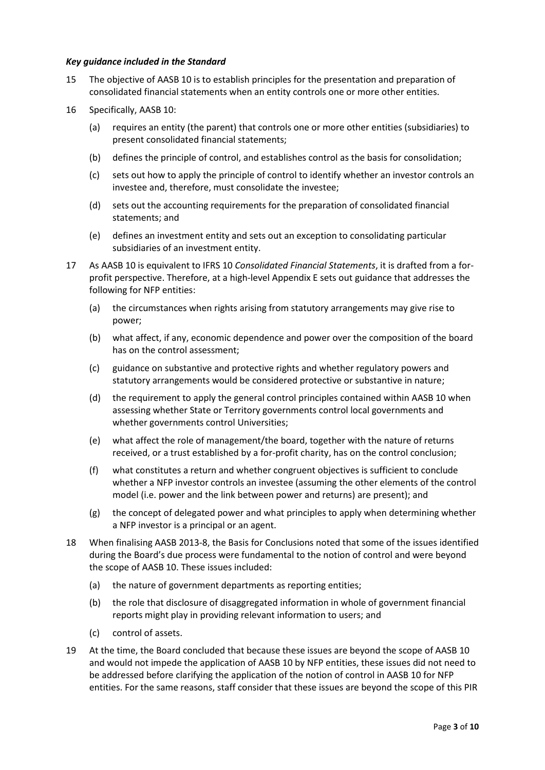#### *Key guidance included in the Standard*

- 15 The objective of AASB 10 is to establish principles for the presentation and preparation of consolidated financial statements when an entity controls one or more other entities.
- 16 Specifically, AASB 10:
	- (a) requires an entity (the parent) that controls one or more other entities (subsidiaries) to present consolidated financial statements;
	- (b) defines the principle of control, and establishes control as the basis for consolidation;
	- (c) sets out how to apply the principle of control to identify whether an investor controls an investee and, therefore, must consolidate the investee;
	- (d) sets out the accounting requirements for the preparation of consolidated financial statements; and
	- (e) defines an investment entity and sets out an exception to consolidating particular subsidiaries of an investment entity.
- 17 As AASB 10 is equivalent to IFRS 10 *Consolidated Financial Statements*, it is drafted from a forprofit perspective. Therefore, at a high-level Appendix E sets out guidance that addresses the following for NFP entities:
	- (a) the circumstances when rights arising from statutory arrangements may give rise to power;
	- (b) what affect, if any, economic dependence and power over the composition of the board has on the control assessment;
	- (c) guidance on substantive and protective rights and whether regulatory powers and statutory arrangements would be considered protective or substantive in nature;
	- (d) the requirement to apply the general control principles contained within AASB 10 when assessing whether State or Territory governments control local governments and whether governments control Universities;
	- (e) what affect the role of management/the board, together with the nature of returns received, or a trust established by a for-profit charity, has on the control conclusion;
	- (f) what constitutes a return and whether congruent objectives is sufficient to conclude whether a NFP investor controls an investee (assuming the other elements of the control model (i.e. power and the link between power and returns) are present); and
	- (g) the concept of delegated power and what principles to apply when determining whether a NFP investor is a principal or an agent.
- 18 When finalising AASB 2013-8, the Basis for Conclusions noted that some of the issues identified during the Board's due process were fundamental to the notion of control and were beyond the scope of AASB 10. These issues included:
	- (a) the nature of government departments as reporting entities;
	- (b) the role that disclosure of disaggregated information in whole of government financial reports might play in providing relevant information to users; and
	- (c) control of assets.
- 19 At the time, the Board concluded that because these issues are beyond the scope of AASB 10 and would not impede the application of AASB 10 by NFP entities, these issues did not need to be addressed before clarifying the application of the notion of control in AASB 10 for NFP entities. For the same reasons, staff consider that these issues are beyond the scope of this PIR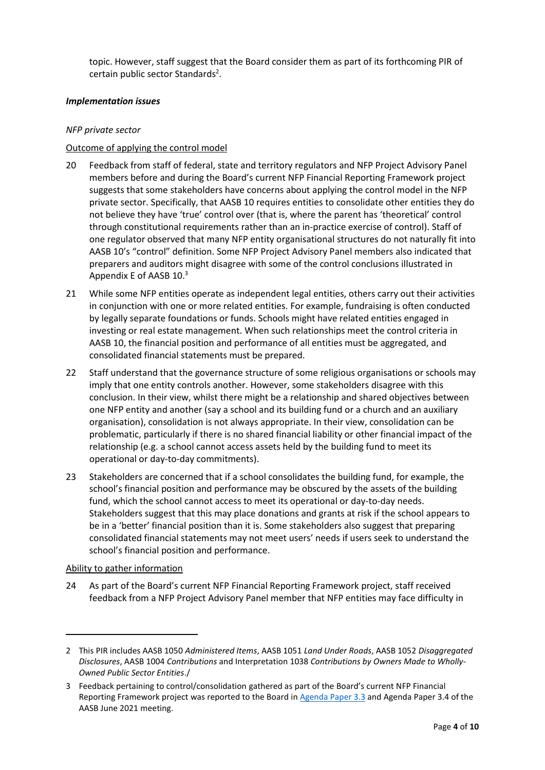topic. However, staff suggest that the Board consider them as part of its forthcoming PIR of certain public sector Standards<sup>2</sup>.

## *Implementation issues*

## *NFP private sector*

# Outcome of applying the control model

- 20 Feedback from staff of federal, state and territory regulators and NFP Project Advisory Panel members before and during the Board's current NFP Financial Reporting Framework project suggests that some stakeholders have concerns about applying the control model in the NFP private sector. Specifically, that AASB 10 requires entities to consolidate other entities they do not believe they have 'true' control over (that is, where the parent has 'theoretical' control through constitutional requirements rather than an in-practice exercise of control). Staff of one regulator observed that many NFP entity organisational structures do not naturally fit into AASB 10's "control" definition. Some NFP Project Advisory Panel members also indicated that preparers and auditors might disagree with some of the control conclusions illustrated in Appendix E of AASB 10.<sup>3</sup>
- 21 While some NFP entities operate as independent legal entities, others carry out their activities in conjunction with one or more related entities. For example, fundraising is often conducted by legally separate foundations or funds. Schools might have related entities engaged in investing or real estate management. When such relationships meet the control criteria in AASB 10, the financial position and performance of all entities must be aggregated, and consolidated financial statements must be prepared.
- 22 Staff understand that the governance structure of some religious organisations or schools may imply that one entity controls another. However, some stakeholders disagree with this conclusion. In their view, whilst there might be a relationship and shared objectives between one NFP entity and another (say a school and its building fund or a church and an auxiliary organisation), consolidation is not always appropriate. In their view, consolidation can be problematic, particularly if there is no shared financial liability or other financial impact of the relationship (e.g. a school cannot access assets held by the building fund to meet its operational or day-to-day commitments).
- 23 Stakeholders are concerned that if a school consolidates the building fund, for example, the school's financial position and performance may be obscured by the assets of the building fund, which the school cannot access to meet its operational or day-to-day needs. Stakeholders suggest that this may place donations and grants at risk if the school appears to be in a 'better' financial position than it is. Some stakeholders also suggest that preparing consolidated financial statements may not meet users' needs if users seek to understand the school's financial position and performance.

#### Ability to gather information

24 As part of the Board's current NFP Financial Reporting Framework project, staff received feedback from a NFP Project Advisory Panel member that NFP entities may face difficulty in

<sup>2</sup> This PIR includes AASB 1050 *Administered Items*, AASB 1051 *Land Under Roads*, AASB 1052 *Disaggregated Disclosures*, AASB 1004 *Contributions* and Interpretation 1038 *Contributions by Owners Made to Wholly-Owned Public Sector Entities*./

<sup>3</sup> Feedback pertaining to control/consolidation gathered as part of the Board's current NFP Financial Reporting Framework project was reported to the Board i[n Agenda Paper 3.3](https://aasb.gov.au/media/zgseovgz/3-3_sp_tier3reportingcontrolledandrelatedentities_m181_pp.pdf) and Agenda Paper 3.4 of the AASB June 2021 meeting.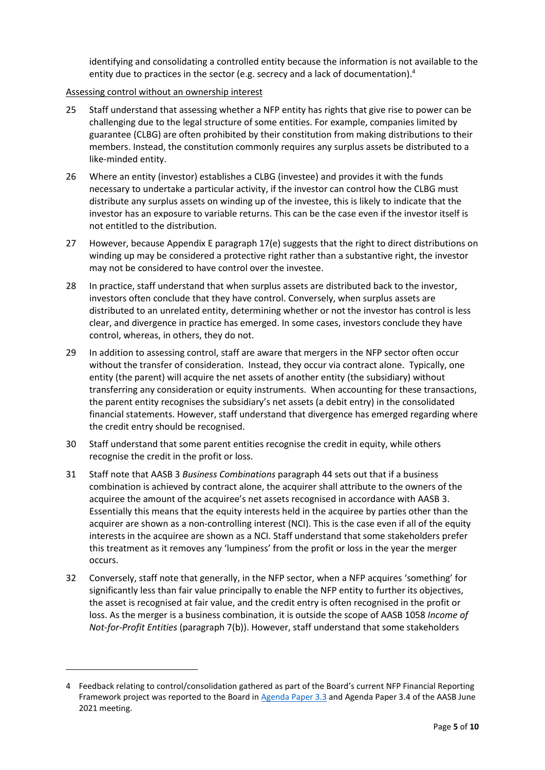identifying and consolidating a controlled entity because the information is not available to the entity due to practices in the sector (e.g. secrecy and a lack of documentation).<sup>4</sup>

## Assessing control without an ownership interest

- 25 Staff understand that assessing whether a NFP entity has rights that give rise to power can be challenging due to the legal structure of some entities. For example, companies limited by guarantee (CLBG) are often prohibited by their constitution from making distributions to their members. Instead, the constitution commonly requires any surplus assets be distributed to a like-minded entity.
- 26 Where an entity (investor) establishes a CLBG (investee) and provides it with the funds necessary to undertake a particular activity, if the investor can control how the CLBG must distribute any surplus assets on winding up of the investee, this is likely to indicate that the investor has an exposure to variable returns. This can be the case even if the investor itself is not entitled to the distribution.
- 27 However, because Appendix E paragraph 17(e) suggests that the right to direct distributions on winding up may be considered a protective right rather than a substantive right, the investor may not be considered to have control over the investee.
- 28 In practice, staff understand that when surplus assets are distributed back to the investor, investors often conclude that they have control. Conversely, when surplus assets are distributed to an unrelated entity, determining whether or not the investor has control is less clear, and divergence in practice has emerged. In some cases, investors conclude they have control, whereas, in others, they do not.
- <span id="page-4-0"></span>29 In addition to assessing control, staff are aware that mergers in the NFP sector often occur without the transfer of consideration. Instead, they occur via contract alone. Typically, one entity (the parent) will acquire the net assets of another entity (the subsidiary) without transferring any consideration or equity instruments. When accounting for these transactions, the parent entity recognises the subsidiary's net assets (a debit entry) in the consolidated financial statements. However, staff understand that divergence has emerged regarding where the credit entry should be recognised.
- 30 Staff understand that some parent entities recognise the credit in equity, while others recognise the credit in the profit or loss.
- 31 Staff note that AASB 3 *Business Combinations* paragraph 44 sets out that if a business combination is achieved by contract alone, the acquirer shall attribute to the owners of the acquiree the amount of the acquiree's net assets recognised in accordance with AASB 3. Essentially this means that the equity interests held in the acquiree by parties other than the acquirer are shown as a non-controlling interest (NCI). This is the case even if all of the equity interests in the acquiree are shown as a NCI. Staff understand that some stakeholders prefer this treatment as it removes any 'lumpiness' from the profit or loss in the year the merger occurs.
- <span id="page-4-1"></span>32 Conversely, staff note that generally, in the NFP sector, when a NFP acquires 'something' for significantly less than fair value principally to enable the NFP entity to further its objectives, the asset is recognised at fair value, and the credit entry is often recognised in the profit or loss. As the merger is a business combination, it is outside the scope of AASB 1058 *Income of Not-for-Profit Entities* (paragraph 7(b)). However, staff understand that some stakeholders

<sup>4</sup> Feedback relating to control/consolidation gathered as part of the Board's current NFP Financial Reporting Framework project was reported to the Board in [Agenda Paper 3.3](https://aasb.gov.au/media/zgseovgz/3-3_sp_tier3reportingcontrolledandrelatedentities_m181_pp.pdf) and Agenda Paper 3.4 of the AASB June 2021 meeting.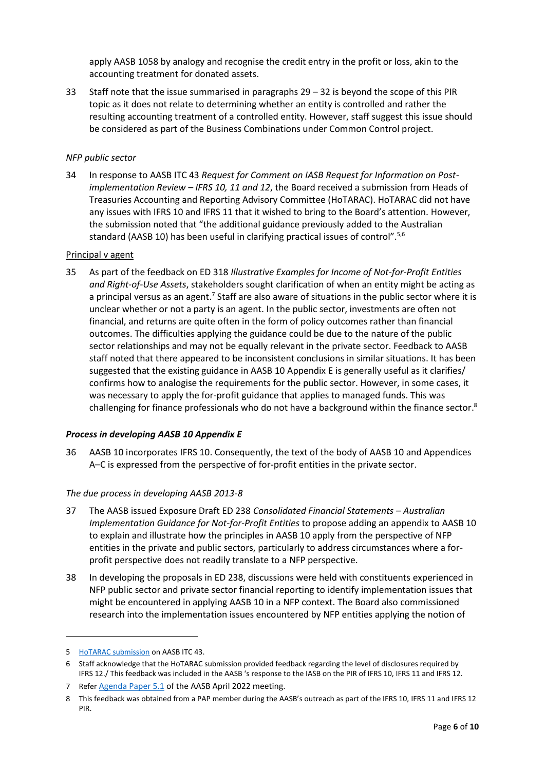apply AASB 1058 by analogy and recognise the credit entry in the profit or loss, akin to the accounting treatment for donated assets.

33 Staff note that the issue summarised in paragraphs [29](#page-4-0) – [32](#page-4-1) is beyond the scope of this PIR topic as it does not relate to determining whether an entity is controlled and rather the resulting accounting treatment of a controlled entity. However, staff suggest this issue should be considered as part of the Business Combinations under Common Control project.

## *NFP public sector*

34 In response to AASB ITC 43 *Request for Comment on IASB Request for Information on Postimplementation Review – IFRS 10, 11 and 12*, the Board received a submission from Heads of Treasuries Accounting and Reporting Advisory Committee (HoTARAC). HoTARAC did not have any issues with IFRS 10 and IFRS 11 that it wished to bring to the Board's attention. However, the submission noted that "the additional guidance previously added to the Australian standard (AASB 10) has been useful in clarifying practical issues of control".<sup>5,6</sup>

#### Principal v agent

35 As part of the feedback on ED 318 *Illustrative Examples for Income of Not-for-Profit Entities and Right-of-Use Assets*, stakeholders sought clarification of when an entity might be acting as a principal versus as an agent.<sup>7</sup> Staff are also aware of situations in the public sector where it is unclear whether or not a party is an agent. In the public sector, investments are often not financial, and returns are quite often in the form of policy outcomes rather than financial outcomes. The difficulties applying the guidance could be due to the nature of the public sector relationships and may not be equally relevant in the private sector. Feedback to AASB staff noted that there appeared to be inconsistent conclusions in similar situations. It has been suggested that the existing guidance in AASB 10 Appendix E is generally useful as it clarifies/ confirms how to analogise the requirements for the public sector. However, in some cases, it was necessary to apply the for-profit guidance that applies to managed funds. This was challenging for finance professionals who do not have a background within the finance sector.<sup>8</sup>

#### *Process in developing AASB 10 Appendix E*

36 AASB 10 incorporates IFRS 10. Consequently, the text of the body of AASB 10 and Appendices A–C is expressed from the perspective of for-profit entities in the private sector.

#### *The due process in developing AASB 2013-8*

- 37 The AASB issued Exposure Draft ED 238 *Consolidated Financial Statements – Australian Implementation Guidance for Not-for-Profit Entities* to propose adding an appendix to AASB 10 to explain and illustrate how the principles in AASB 10 apply from the perspective of NFP entities in the private and public sectors, particularly to address circumstances where a forprofit perspective does not readily translate to a NFP perspective.
- <span id="page-5-0"></span>38 In developing the proposals in ED 238, discussions were held with constituents experienced in NFP public sector and private sector financial reporting to identify implementation issues that might be encountered in applying AASB 10 in a NFP context. The Board also commissioned research into the implementation issues encountered by NFP entities applying the notion of

<sup>5</sup> [HoTARAC submission](https://www.aasb.gov.au/admin/file/content106/c2/HoTARAC_letter%20to%20AASB%20RFI%20IFRS%2010,11,12_March%202021_1617065993291.pdf) on AASB ITC 43.

<sup>6</sup> Staff acknowledge that the HoTARAC submission provided feedback regarding the level of disclosures required by IFRS 12./ This feedback was included in the AASB 's response to the IASB on the PIR of IFRS 10, IFRS 11 and IFRS 12.

<sup>7</sup> Refer [Agenda Paper 5.1](https://www.aasb.gov.au/media/ku5h55jt/05-1_sp_ed318feedbackanalysis_m186_pp.pdf) of the AASB April 2022 meeting.

<sup>8</sup> This feedback was obtained from a PAP member during the AASB's outreach as part of the IFRS 10, IFRS 11 and IFRS 12 PIR.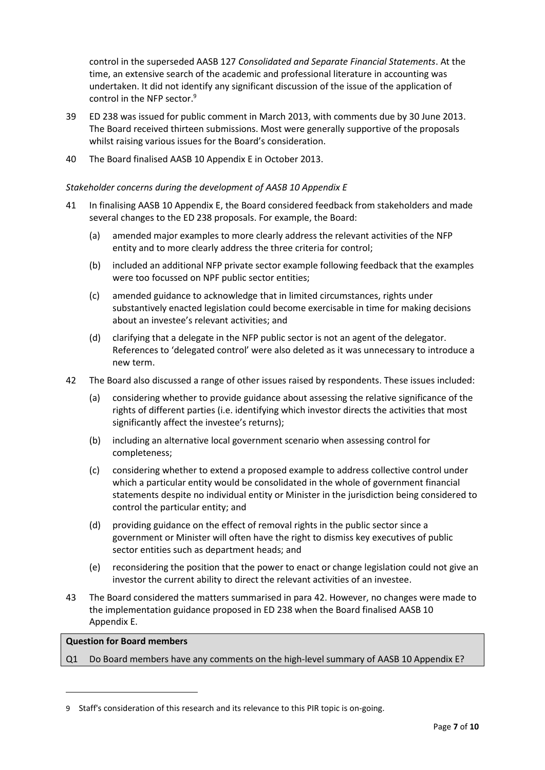control in the superseded AASB 127 *Consolidated and Separate Financial Statements*. At the time, an extensive search of the academic and professional literature in accounting was undertaken. It did not identify any significant discussion of the issue of the application of control in the NFP sector.<sup>9</sup>

- 39 ED 238 was issued for public comment in March 2013, with comments due by 30 June 2013. The Board received thirteen submissions. Most were generally supportive of the proposals whilst raising various issues for the Board's consideration.
- 40 The Board finalised AASB 10 Appendix E in October 2013.

#### *Stakeholder concerns during the development of AASB 10 Appendix E*

- 41 In finalising AASB 10 Appendix E, the Board considered feedback from stakeholders and made several changes to the ED 238 proposals. For example, the Board:
	- (a) amended major examples to more clearly address the relevant activities of the NFP entity and to more clearly address the three criteria for control;
	- (b) included an additional NFP private sector example following feedback that the examples were too focussed on NPF public sector entities;
	- (c) amended guidance to acknowledge that in limited circumstances, rights under substantively enacted legislation could become exercisable in time for making decisions about an investee's relevant activities; and
	- (d) clarifying that a delegate in the NFP public sector is not an agent of the delegator. References to 'delegated control' were also deleted as it was unnecessary to introduce a new term.
- <span id="page-6-1"></span>42 The Board also discussed a range of other issues raised by respondents. These issues included:
	- (a) considering whether to provide guidance about assessing the relative significance of the rights of different parties (i.e. identifying which investor directs the activities that most significantly affect the investee's returns);
	- (b) including an alternative local government scenario when assessing control for completeness;
	- (c) considering whether to extend a proposed example to address collective control under which a particular entity would be consolidated in the whole of government financial statements despite no individual entity or Minister in the jurisdiction being considered to control the particular entity; and
	- (d) providing guidance on the effect of removal rights in the public sector since a government or Minister will often have the right to dismiss key executives of public sector entities such as department heads; and
	- (e) reconsidering the position that the power to enact or change legislation could not give an investor the current ability to direct the relevant activities of an investee.
- <span id="page-6-0"></span>43 The Board considered the matters summarised in para [42.](#page-6-1) However, no changes were made to the implementation guidance proposed in ED 238 when the Board finalised AASB 10 Appendix E.

#### **Question for Board members**

Q1 Do Board members have any comments on the high-level summary of AASB 10 Appendix E?

<sup>9</sup> Staff's consideration of this research and its relevance to this PIR topic is on-going.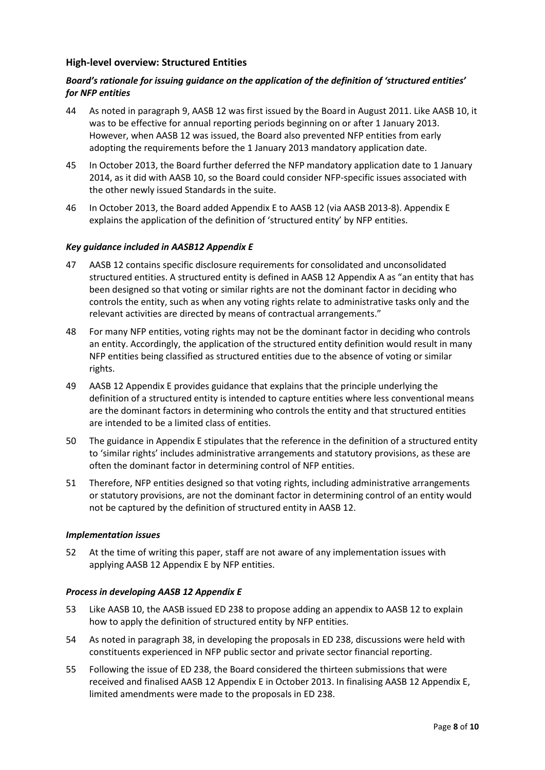# **High-level overview: Structured Entities**

# *Board's rationale for issuing guidance on the application of the definition of 'structured entities' for NFP entities*

- <span id="page-7-0"></span>44 As noted in paragraph [9,](#page-1-1) AASB 12 was first issued by the Board in August 2011. Like AASB 10, it was to be effective for annual reporting periods beginning on or after 1 January 2013. However, when AASB 12 was issued, the Board also prevented NFP entities from early adopting the requirements before the 1 January 2013 mandatory application date.
- 45 In October 2013, the Board further deferred the NFP mandatory application date to 1 January 2014, as it did with AASB 10, so the Board could consider NFP-specific issues associated with the other newly issued Standards in the suite.
- 46 In October 2013, the Board added Appendix E to AASB 12 (via AASB 2013-8). Appendix E explains the application of the definition of 'structured entity' by NFP entities.

#### *Key guidance included in AASB12 Appendix E*

- 47 AASB 12 contains specific disclosure requirements for consolidated and unconsolidated structured entities. A structured entity is defined in AASB 12 Appendix A as "an entity that has been designed so that voting or similar rights are not the dominant factor in deciding who controls the entity, such as when any voting rights relate to administrative tasks only and the relevant activities are directed by means of contractual arrangements."
- 48 For many NFP entities, voting rights may not be the dominant factor in deciding who controls an entity. Accordingly, the application of the structured entity definition would result in many NFP entities being classified as structured entities due to the absence of voting or similar rights.
- 49 AASB 12 Appendix E provides guidance that explains that the principle underlying the definition of a structured entity is intended to capture entities where less conventional means are the dominant factors in determining who controls the entity and that structured entities are intended to be a limited class of entities.
- 50 The guidance in Appendix E stipulates that the reference in the definition of a structured entity to 'similar rights' includes administrative arrangements and statutory provisions, as these are often the dominant factor in determining control of NFP entities.
- 51 Therefore, NFP entities designed so that voting rights, including administrative arrangements or statutory provisions, are not the dominant factor in determining control of an entity would not be captured by the definition of structured entity in AASB 12.

#### *Implementation issues*

52 At the time of writing this paper, staff are not aware of any implementation issues with applying AASB 12 Appendix E by NFP entities.

#### *Process in developing AASB 12 Appendix E*

- 53 Like AASB 10, the AASB issued ED 238 to propose adding an appendix to AASB 12 to explain how to apply the definition of structured entity by NFP entities.
- 54 As noted in paragraph [38,](#page-5-0) in developing the proposals in ED 238, discussions were held with constituents experienced in NFP public sector and private sector financial reporting.
- 55 Following the issue of ED 238, the Board considered the thirteen submissions that were received and finalised AASB 12 Appendix E in October 2013. In finalising AASB 12 Appendix E, limited amendments were made to the proposals in ED 238.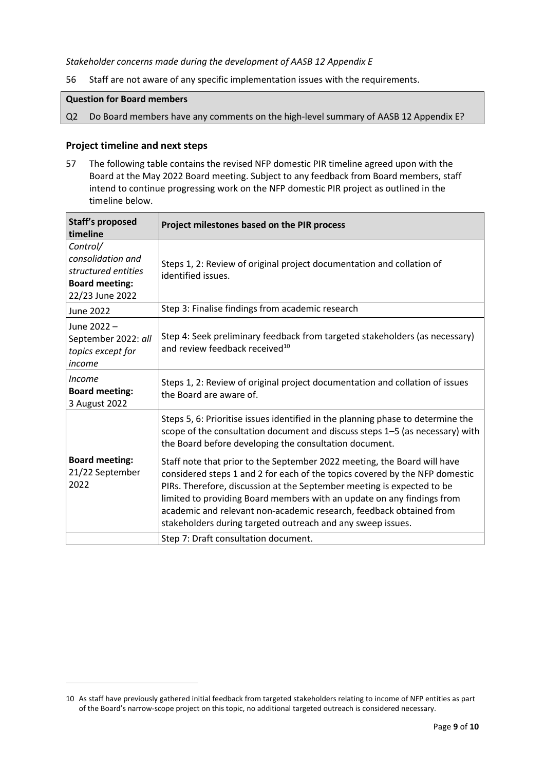## *Stakeholder concerns made during the development of AASB 12 Appendix E*

<span id="page-8-0"></span>56 Staff are not aware of any specific implementation issues with the requirements.

# **Question for Board members**

Q2 Do Board members have any comments on the high-level summary of AASB 12 Appendix E?

#### **Project timeline and next steps**

<span id="page-8-1"></span>57 The following table contains the revised NFP domestic PIR timeline agreed upon with the Board at the May 2022 Board meeting. Subject to any feedback from Board members, staff intend to continue progressing work on the NFP domestic PIR project as outlined in the timeline below.

| <b>Staff's proposed</b><br>timeline                                                              | Project milestones based on the PIR process                                                                                                                                                                                                                                                                                                                                                                                                       |
|--------------------------------------------------------------------------------------------------|---------------------------------------------------------------------------------------------------------------------------------------------------------------------------------------------------------------------------------------------------------------------------------------------------------------------------------------------------------------------------------------------------------------------------------------------------|
| Control/<br>consolidation and<br>structured entities<br><b>Board meeting:</b><br>22/23 June 2022 | Steps 1, 2: Review of original project documentation and collation of<br>identified issues.                                                                                                                                                                                                                                                                                                                                                       |
| June 2022                                                                                        | Step 3: Finalise findings from academic research                                                                                                                                                                                                                                                                                                                                                                                                  |
| June 2022-<br>September 2022: all<br>topics except for<br>income                                 | Step 4: Seek preliminary feedback from targeted stakeholders (as necessary)<br>and review feedback received <sup>10</sup>                                                                                                                                                                                                                                                                                                                         |
| <i>Income</i><br><b>Board meeting:</b><br>3 August 2022                                          | Steps 1, 2: Review of original project documentation and collation of issues<br>the Board are aware of.                                                                                                                                                                                                                                                                                                                                           |
|                                                                                                  | Steps 5, 6: Prioritise issues identified in the planning phase to determine the<br>scope of the consultation document and discuss steps 1-5 (as necessary) with<br>the Board before developing the consultation document.                                                                                                                                                                                                                         |
| <b>Board meeting:</b><br>21/22 September<br>2022                                                 | Staff note that prior to the September 2022 meeting, the Board will have<br>considered steps 1 and 2 for each of the topics covered by the NFP domestic<br>PIRs. Therefore, discussion at the September meeting is expected to be<br>limited to providing Board members with an update on any findings from<br>academic and relevant non-academic research, feedback obtained from<br>stakeholders during targeted outreach and any sweep issues. |
|                                                                                                  | Step 7: Draft consultation document.                                                                                                                                                                                                                                                                                                                                                                                                              |

<sup>10</sup> As staff have previously gathered initial feedback from targeted stakeholders relating to income of NFP entities as part of the Board's narrow-scope project on this topic, no additional targeted outreach is considered necessary.